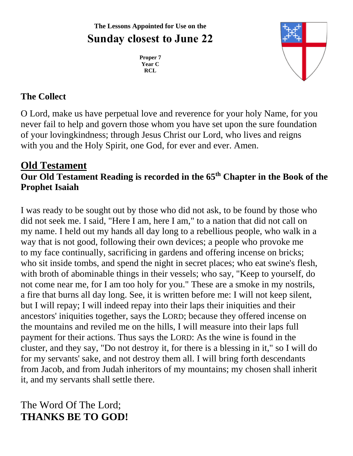### **The Lessons Appointed for Use on the Sunday closest to June 22**

**Proper 7 Year C RCL**



#### **The Collect**

O Lord, make us have perpetual love and reverence for your holy Name, for you never fail to help and govern those whom you have set upon the sure foundation of your lovingkindness; through Jesus Christ our Lord, who lives and reigns with you and the Holy Spirit, one God, for ever and ever. Amen.

#### **Old Testament Our Old Testament Reading is recorded in the 65th Chapter in the Book of the Prophet Isaiah**

I was ready to be sought out by those who did not ask, to be found by those who did not seek me. I said, "Here I am, here I am," to a nation that did not call on my name. I held out my hands all day long to a rebellious people, who walk in a way that is not good, following their own devices; a people who provoke me to my face continually, sacrificing in gardens and offering incense on bricks; who sit inside tombs, and spend the night in secret places; who eat swine's flesh, with broth of abominable things in their vessels; who say, "Keep to yourself, do not come near me, for I am too holy for you." These are a smoke in my nostrils, a fire that burns all day long. See, it is written before me: I will not keep silent, but I will repay; I will indeed repay into their laps their iniquities and their ancestors' iniquities together, says the LORD; because they offered incense on the mountains and reviled me on the hills, I will measure into their laps full payment for their actions. Thus says the LORD: As the wine is found in the cluster, and they say, "Do not destroy it, for there is a blessing in it," so I will do for my servants' sake, and not destroy them all. I will bring forth descendants from Jacob, and from Judah inheritors of my mountains; my chosen shall inherit it, and my servants shall settle there.

## The Word Of The Lord; **THANKS BE TO GOD!**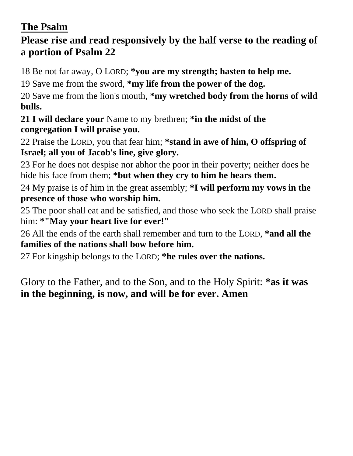# **The Psalm**

**Please rise and read responsively by the half verse to the reading of a portion of Psalm 22**

18 Be not far away, O LORD; **\*you are my strength; hasten to help me.**

19 Save me from the sword, **\*my life from the power of the dog.**

20 Save me from the lion's mouth, **\*my wretched body from the horns of wild bulls.**

**21 I will declare your** Name to my brethren; **\*in the midst of the congregation I will praise you.**

22 Praise the LORD, you that fear him; **\*stand in awe of him, O offspring of Israel; all you of Jacob's line, give glory.**

23 For he does not despise nor abhor the poor in their poverty; neither does he hide his face from them; **\*but when they cry to him he hears them.**

24 My praise is of him in the great assembly; **\*I will perform my vows in the presence of those who worship him.**

25 The poor shall eat and be satisfied, and those who seek the LORD shall praise him: **\*"May your heart live for ever!"**

26 All the ends of the earth shall remember and turn to the LORD, **\*and all the families of the nations shall bow before him.**

27 For kingship belongs to the LORD; **\*he rules over the nations.**

Glory to the Father, and to the Son, and to the Holy Spirit: **\*as it was in the beginning, is now, and will be for ever. Amen**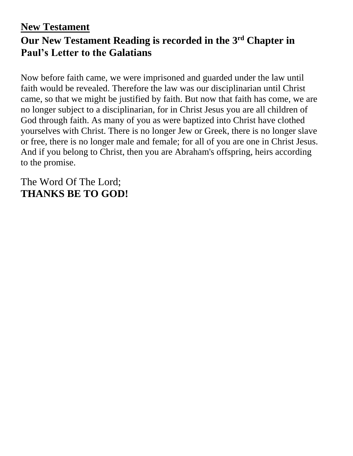### **New Testament**

# **Our New Testament Reading is recorded in the 3 rd Chapter in Paul's Letter to the Galatians**

Now before faith came, we were imprisoned and guarded under the law until faith would be revealed. Therefore the law was our disciplinarian until Christ came, so that we might be justified by faith. But now that faith has come, we are no longer subject to a disciplinarian, for in Christ Jesus you are all children of God through faith. As many of you as were baptized into Christ have clothed yourselves with Christ. There is no longer Jew or Greek, there is no longer slave or free, there is no longer male and female; for all of you are one in Christ Jesus. And if you belong to Christ, then you are Abraham's offspring, heirs according to the promise.

The Word Of The Lord; **THANKS BE TO GOD!**